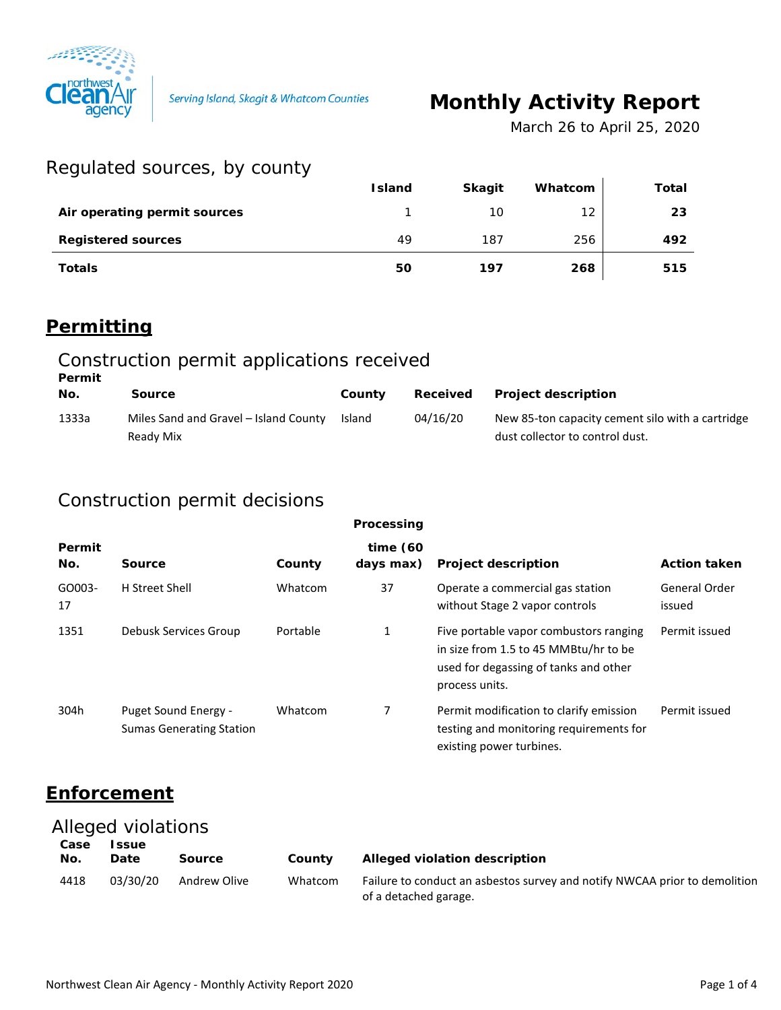

Serving Island, Skagit & Whatcom Counties

# **Monthly Activity Report**

*March 26 to April 25, 2020*

### Regulated sources, by county

| $100 - 100 - 100 = 100$      |               |               |         |       |
|------------------------------|---------------|---------------|---------|-------|
|                              | <b>Island</b> | <b>Skagit</b> | Whatcom | Total |
| Air operating permit sources |               | 10            | 12      | 23    |
| <b>Registered sources</b>    | 49            | 187           | 256     | 492   |
| <b>Totals</b>                | 50            | 197           | 268     | 515   |

### **Permitting**

#### Construction permit applications received **Permit**

| No.   | Source                                             | County | Received | <b>Project description</b>                                                          |
|-------|----------------------------------------------------|--------|----------|-------------------------------------------------------------------------------------|
| 1333a | Miles Sand and Gravel - Island County<br>Ready Mix | Island | 04/16/20 | New 85-ton capacity cement silo with a cartridge<br>dust collector to control dust. |

### Construction permit decisions

| Processing    |                                                         |          |                          |                                                                                                                                            |                         |
|---------------|---------------------------------------------------------|----------|--------------------------|--------------------------------------------------------------------------------------------------------------------------------------------|-------------------------|
| Permit<br>No. | Source                                                  | County   | time $(60)$<br>days max) | <b>Project description</b>                                                                                                                 | <b>Action taken</b>     |
| GO003-<br>17  | H Street Shell                                          | Whatcom  | 37                       | Operate a commercial gas station<br>without Stage 2 vapor controls                                                                         | General Order<br>issued |
| 1351          | Debusk Services Group                                   | Portable | 1                        | Five portable vapor combustors ranging<br>in size from 1.5 to 45 MMBtu/hr to be<br>used for degassing of tanks and other<br>process units. | Permit issued           |
| 304h          | Puget Sound Energy -<br><b>Sumas Generating Station</b> | Whatcom  | 7                        | Permit modification to clarify emission<br>testing and monitoring requirements for<br>existing power turbines.                             | Permit issued           |

### **Enforcement**

#### Alleged violations

| Case<br>No. | <b>Issue</b><br>Date | Source       | County  | Alleged violation description                                                                       |
|-------------|----------------------|--------------|---------|-----------------------------------------------------------------------------------------------------|
| 4418        | 03/30/20             | Andrew Olive | Whatcom | Failure to conduct an asbestos survey and notify NWCAA prior to demolition<br>of a detached garage. |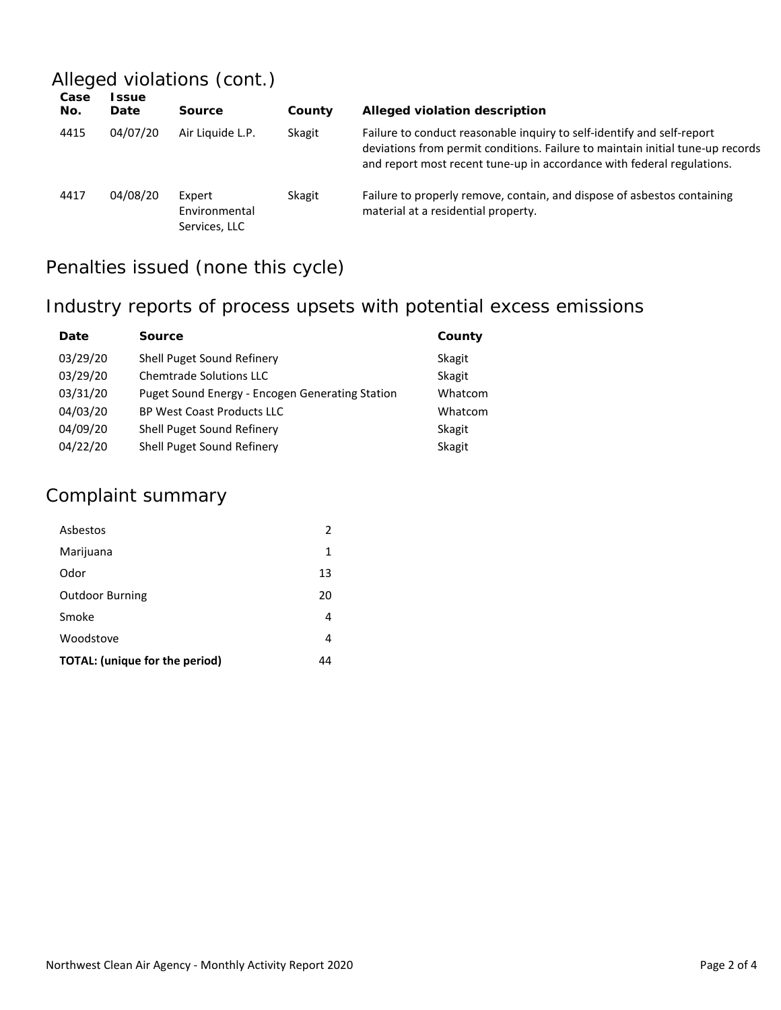## Alleged violations (cont.)

| Case<br>No. | <b>SSUE</b><br>Date | Source                                   | County | Alleged violation description                                                                                                                                                                                                      |
|-------------|---------------------|------------------------------------------|--------|------------------------------------------------------------------------------------------------------------------------------------------------------------------------------------------------------------------------------------|
| 4415        | 04/07/20            | Air Liquide L.P.                         | Skagit | Failure to conduct reasonable inguiry to self-identify and self-report<br>deviations from permit conditions. Failure to maintain initial tune-up records<br>and report most recent tune-up in accordance with federal regulations. |
| 4417        | 04/08/20            | Expert<br>Environmental<br>Services, LLC | Skagit | Failure to properly remove, contain, and dispose of asbestos containing<br>material at a residential property.                                                                                                                     |

## Penalties issued (none this cycle)

### Industry reports of process upsets with potential excess emissions

| Date     | <b>Source</b>                                   | County  |
|----------|-------------------------------------------------|---------|
| 03/29/20 | Shell Puget Sound Refinery                      | Skagit  |
| 03/29/20 | <b>Chemtrade Solutions LLC</b>                  | Skagit  |
| 03/31/20 | Puget Sound Energy - Encogen Generating Station | Whatcom |
| 04/03/20 | <b>BP West Coast Products LLC</b>               | Whatcom |
| 04/09/20 | Shell Puget Sound Refinery                      | Skagit  |
| 04/22/20 | Shell Puget Sound Refinery                      | Skagit  |

## Complaint summary

| Asbestos                              | 2  |
|---------------------------------------|----|
| Marijuana                             | 1  |
| Odor                                  | 13 |
| <b>Outdoor Burning</b>                | 20 |
| Smoke                                 | 4  |
| Woodstove                             | 4  |
| <b>TOTAL:</b> (unique for the period) | 44 |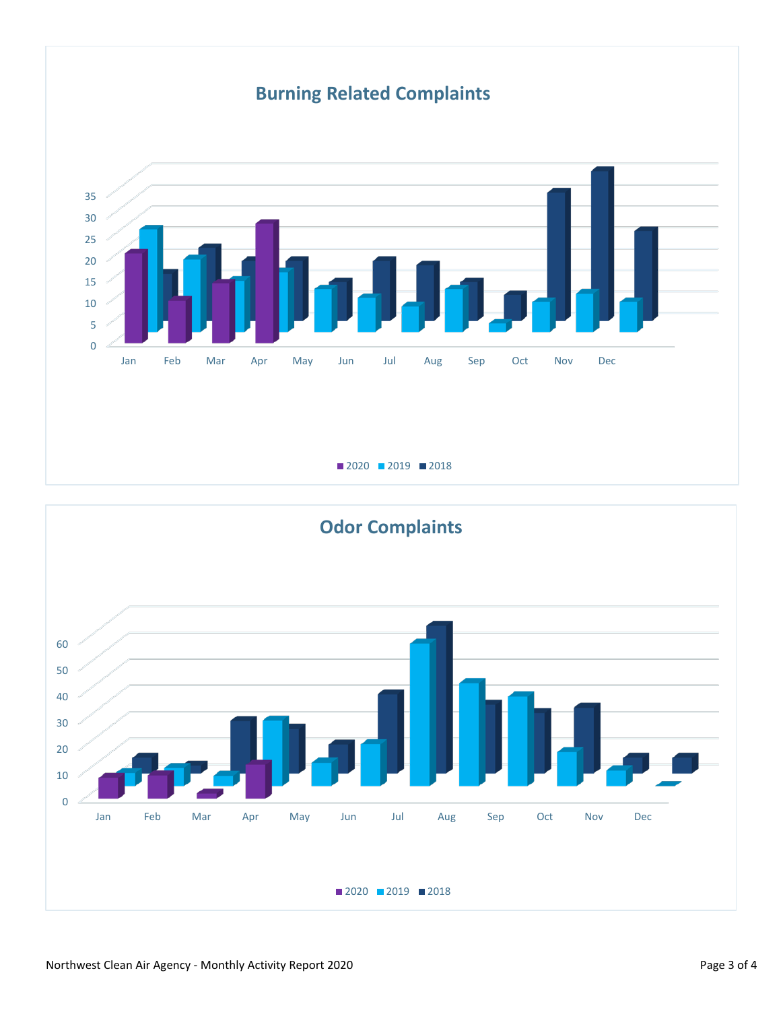